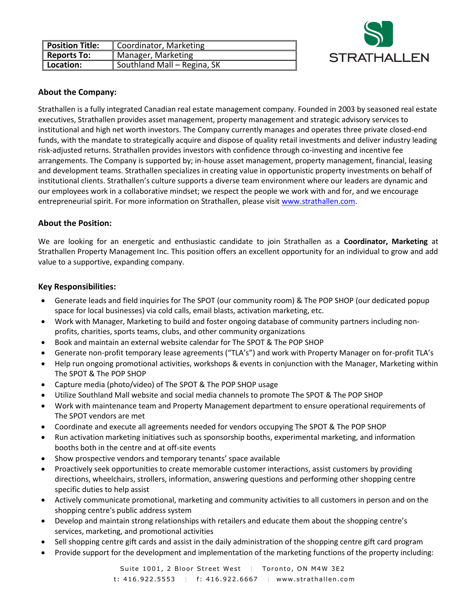

| Position Title: | Coordinator, Marketing      |
|-----------------|-----------------------------|
| Reports To:     | Manager, Marketing          |
| Location:       | Southland Mall - Regina, SK |

## **About the Company:**

Strathallen is a fully integrated Canadian real estate management company. Founded in 2003 by seasoned real estate executives, Strathallen provides asset management, property management and strategic advisory services to institutional and high net worth investors. The Company currently manages and operates three private closed-end funds, with the mandate to strategically acquire and dispose of quality retail investments and deliver industry leading risk-adjusted returns. Strathallen provides investors with confidence through co-investing and incentive fee arrangements. The Company is supported by; in-house asset management, property management, financial, leasing and development teams. Strathallen specializes in creating value in opportunistic property investments on behalf of institutional clients. Strathallen's culture supports a diverse team environment where our leaders are dynamic and our employees work in a collaborative mindset; we respect the people we work with and for, and we encourage entrepreneurial spirit. For more information on Strathallen, please visit [www.strathallen.com.](http://www.strathallen.com/)

## **About the Position:**

We are looking for an energetic and enthusiastic candidate to join Strathallen as a **Coordinator, Marketing** at Strathallen Property Management Inc. This position offers an excellent opportunity for an individual to grow and add value to a supportive, expanding company.

## **Key Responsibilities:**

- Generate leads and field inquiries for The SPOT (our community room) & The POP SHOP (our dedicated popup space for local businesses) via cold calls, email blasts, activation marketing, etc.
- Work with Manager, Marketing to build and foster ongoing database of community partners including nonprofits, charities, sports teams, clubs, and other community organizations
- Book and maintain an external website calendar for The SPOT & The POP SHOP
- Generate non-profit temporary lease agreements ("TLA's") and work with Property Manager on for-profit TLA's
- Help run ongoing promotional activities, workshops & events in conjunction with the Manager, Marketing within The SPOT & The POP SHOP
- Capture media (photo/video) of The SPOT & The POP SHOP usage
- Utilize Southland Mall website and social media channels to promote The SPOT & The POP SHOP
- Work with maintenance team and Property Management department to ensure operational requirements of The SPOT vendors are met
- Coordinate and execute all agreements needed for vendors occupying The SPOT & The POP SHOP
- Run activation marketing initiatives such as sponsorship booths, experimental marketing, and information booths both in the centre and at off-site events
- Show prospective vendors and temporary tenants' space available
- Proactively seek opportunities to create memorable customer interactions, assist customers by providing directions, wheelchairs, strollers, information, answering questions and performing other shopping centre specific duties to help assist
- Actively communicate promotional, marketing and community activities to all customers in person and on the shopping centre's public address system
- Develop and maintain strong relationships with retailers and educate them about the shopping centre's services, marketing, and promotional activities
- Sell shopping centre gift cards and assist in the daily administration of the shopping centre gift card program
- Provide support for the development and implementation of the marketing functions of the property including: